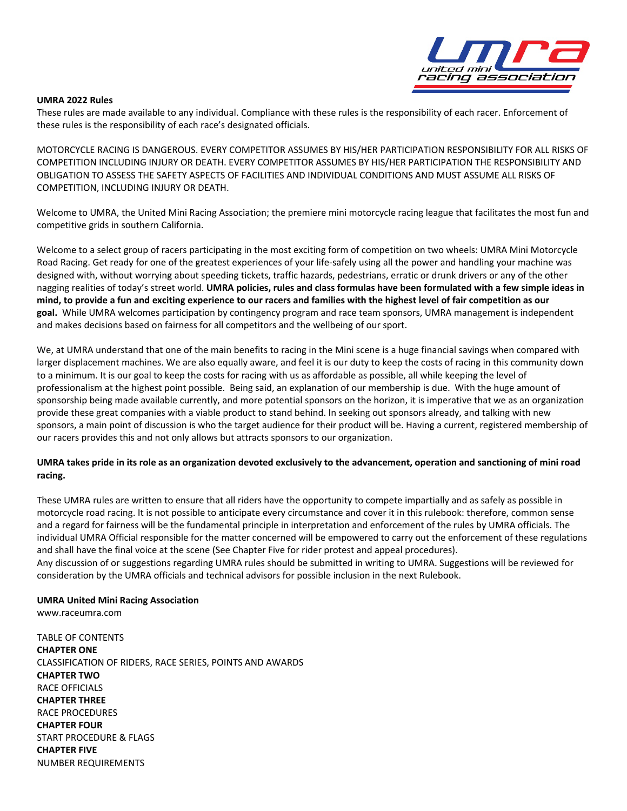

### **UMRA 2022 Rules**

These rules are made available to any individual. Compliance with these rules is the responsibility of each racer. Enforcement of these rules is the responsibility of each race's designated officials.

MOTORCYCLE RACING IS DANGEROUS. EVERY COMPETITOR ASSUMES BY HIS/HER PARTICIPATION RESPONSIBILITY FOR ALL RISKS OF COMPETITION INCLUDING INJURY OR DEATH. EVERY COMPETITOR ASSUMES BY HIS/HER PARTICIPATION THE RESPONSIBILITY AND OBLIGATION TO ASSESS THE SAFETY ASPECTS OF FACILITIES AND INDIVIDUAL CONDITIONS AND MUST ASSUME ALL RISKS OF COMPETITION, INCLUDING INJURY OR DEATH.

Welcome to UMRA, the United Mini Racing Association; the premiere mini motorcycle racing league that facilitates the most fun and competitive grids in southern California.

Welcome to a select group of racers participating in the most exciting form of competition on two wheels: UMRA Mini Motorcycle Road Racing. Get ready for one of the greatest experiences of your life-safely using all the power and handling your machine was designed with, without worrying about speeding tickets, traffic hazards, pedestrians, erratic or drunk drivers or any of the other nagging realities of today's street world. **UMRA policies, rules and class formulas have been formulated with a few simple ideas in mind, to provide a fun and exciting experience to our racers and families with the highest level of fair competition as our goal.** While UMRA welcomes participation by contingency program and race team sponsors, UMRA management is independent and makes decisions based on fairness for all competitors and the wellbeing of our sport.

We, at UMRA understand that one of the main benefits to racing in the Mini scene is a huge financial savings when compared with larger displacement machines. We are also equally aware, and feel it is our duty to keep the costs of racing in this community down to a minimum. It is our goal to keep the costs for racing with us as affordable as possible, all while keeping the level of professionalism at the highest point possible. Being said, an explanation of our membership is due. With the huge amount of sponsorship being made available currently, and more potential sponsors on the horizon, it is imperative that we as an organization provide these great companies with a viable product to stand behind. In seeking out sponsors already, and talking with new sponsors, a main point of discussion is who the target audience for their product will be. Having a current, registered membership of our racers provides this and not only allows but attracts sponsors to our organization.

# **UMRA takes pride in its role as an organization devoted exclusively to the advancement, operation and sanctioning of mini road racing.**

These UMRA rules are written to ensure that all riders have the opportunity to compete impartially and as safely as possible in motorcycle road racing. It is not possible to anticipate every circumstance and cover it in this rulebook: therefore, common sense and a regard for fairness will be the fundamental principle in interpretation and enforcement of the rules by UMRA officials. The individual UMRA Official responsible for the matter concerned will be empowered to carry out the enforcement of these regulations and shall have the final voice at the scene (See Chapter Five for rider protest and appeal procedures). Any discussion of or suggestions regarding UMRA rules should be submitted in writing to UMRA. Suggestions will be reviewed for consideration by the UMRA officials and technical advisors for possible inclusion in the next Rulebook.

# **UMRA United Mini Racing Association**

www.raceumra.com

TABLE OF CONTENTS **CHAPTER ONE**  CLASSIFICATION OF RIDERS, RACE SERIES, POINTS AND AWARDS **CHAPTER TWO** RACE OFFICIALS **CHAPTER THREE** RACE PROCEDURES **CHAPTER FOUR** START PROCEDURE & FLAGS **CHAPTER FIVE** NUMBER REQUIREMENTS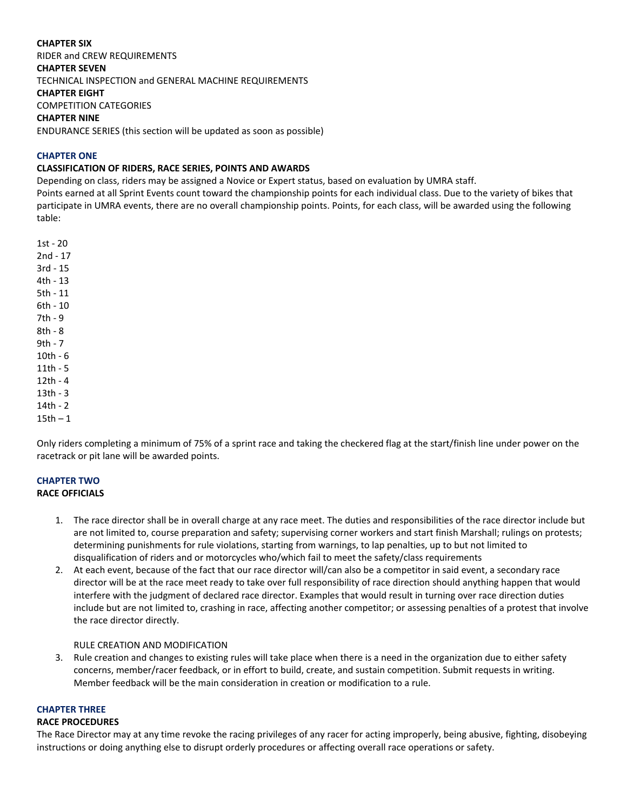# **CHAPTER SIX**

RIDER and CREW REQUIREMENTS **CHAPTER SEVEN** TECHNICAL INSPECTION and GENERAL MACHINE REQUIREMENTS **CHAPTER EIGHT**

COMPETITION CATEGORIES

### **CHAPTER NINE**

ENDURANCE SERIES (this section will be updated as soon as possible)

### **CHAPTER ONE**

# **CLASSIFICATION OF RIDERS, RACE SERIES, POINTS AND AWARDS**

Depending on class, riders may be assigned a Novice or Expert status, based on evaluation by UMRA staff.

Points earned at all Sprint Events count toward the championship points for each individual class. Due to the variety of bikes that participate in UMRA events, there are no overall championship points. Points, for each class, will be awarded using the following table:

1st - 20 2nd - 17 3rd - 15 4th - 13 5th - 11 6th - 10 7th - 9 8th - 8 9th - 7 10th - 6 11th - 5 12th - 4 13th - 3 14th - 2  $15th - 1$ 

Only riders completing a minimum of 75% of a sprint race and taking the checkered flag at the start/finish line under power on the racetrack or pit lane will be awarded points.

### **CHAPTER TWO RACE OFFICIALS**

- 1. The race director shall be in overall charge at any race meet. The duties and responsibilities of the race director include but are not limited to, course preparation and safety; supervising corner workers and start finish Marshall; rulings on protests; determining punishments for rule violations, starting from warnings, to lap penalties, up to but not limited to disqualification of riders and or motorcycles who/which fail to meet the safety/class requirements
- 2. At each event, because of the fact that our race director will/can also be a competitor in said event, a secondary race director will be at the race meet ready to take over full responsibility of race direction should anything happen that would interfere with the judgment of declared race director. Examples that would result in turning over race direction duties include but are not limited to, crashing in race, affecting another competitor; or assessing penalties of a protest that involve the race director directly.

### RULE CREATION AND MODIFICATION

3. Rule creation and changes to existing rules will take place when there is a need in the organization due to either safety concerns, member/racer feedback, or in effort to build, create, and sustain competition. Submit requests in writing. Member feedback will be the main consideration in creation or modification to a rule.

# **CHAPTER THREE**

#### **RACE PROCEDURES**

The Race Director may at any time revoke the racing privileges of any racer for acting improperly, being abusive, fighting, disobeying instructions or doing anything else to disrupt orderly procedures or affecting overall race operations or safety.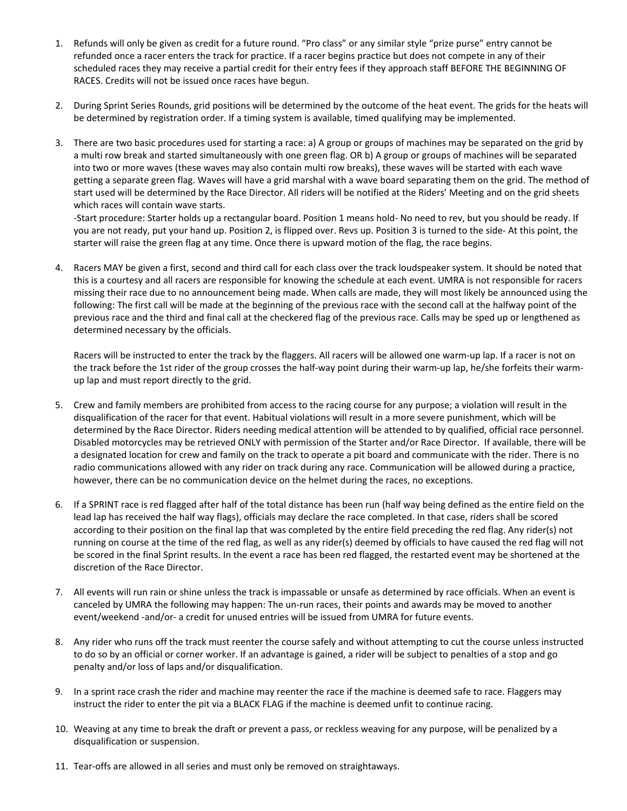- 1. Refunds will only be given as credit for a future round. "Pro class" or any similar style "prize purse" entry cannot be refunded once a racer enters the track for practice. If a racer begins practice but does not compete in any of their scheduled races they may receive a partial credit for their entry fees if they approach staff BEFORE THE BEGINNING OF RACES. Credits will not be issued once races have begun.
- 2. During Sprint Series Rounds, grid positions will be determined by the outcome of the heat event. The grids for the heats will be determined by registration order. If a timing system is available, timed qualifying may be implemented.
- 3. There are two basic procedures used for starting a race: a) A group or groups of machines may be separated on the grid by a multi row break and started simultaneously with one green flag. OR b) A group or groups of machines will be separated into two or more waves (these waves may also contain multi row breaks), these waves will be started with each wave getting a separate green flag. Waves will have a grid marshal with a wave board separating them on the grid. The method of start used will be determined by the Race Director. All riders will be notified at the Riders' Meeting and on the grid sheets which races will contain wave starts.

-Start procedure: Starter holds up a rectangular board. Position 1 means hold- No need to rev, but you should be ready. If you are not ready, put your hand up. Position 2, is flipped over. Revs up. Position 3 is turned to the side- At this point, the starter will raise the green flag at any time. Once there is upward motion of the flag, the race begins.

4. Racers MAY be given a first, second and third call for each class over the track loudspeaker system. It should be noted that this is a courtesy and all racers are responsible for knowing the schedule at each event. UMRA is not responsible for racers missing their race due to no announcement being made. When calls are made, they will most likely be announced using the following: The first call will be made at the beginning of the previous race with the second call at the halfway point of the previous race and the third and final call at the checkered flag of the previous race. Calls may be sped up or lengthened as determined necessary by the officials.

Racers will be instructed to enter the track by the flaggers. All racers will be allowed one warm-up lap. If a racer is not on the track before the 1st rider of the group crosses the half-way point during their warm-up lap, he/she forfeits their warmup lap and must report directly to the grid.

- 5. Crew and family members are prohibited from access to the racing course for any purpose; a violation will result in the disqualification of the racer for that event. Habitual violations will result in a more severe punishment, which will be determined by the Race Director. Riders needing medical attention will be attended to by qualified, official race personnel. Disabled motorcycles may be retrieved ONLY with permission of the Starter and/or Race Director. If available, there will be a designated location for crew and family on the track to operate a pit board and communicate with the rider. There is no radio communications allowed with any rider on track during any race. Communication will be allowed during a practice, however, there can be no communication device on the helmet during the races, no exceptions.
- 6. If a SPRINT race is red flagged after half of the total distance has been run (half way being defined as the entire field on the lead lap has received the half way flags), officials may declare the race completed. In that case, riders shall be scored according to their position on the final lap that was completed by the entire field preceding the red flag. Any rider(s) not running on course at the time of the red flag, as well as any rider(s) deemed by officials to have caused the red flag will not be scored in the final Sprint results. In the event a race has been red flagged, the restarted event may be shortened at the discretion of the Race Director.
- 7. All events will run rain or shine unless the track is impassable or unsafe as determined by race officials. When an event is canceled by UMRA the following may happen: The un-run races, their points and awards may be moved to another event/weekend -and/or- a credit for unused entries will be issued from UMRA for future events.
- 8. Any rider who runs off the track must reenter the course safely and without attempting to cut the course unless instructed to do so by an official or corner worker. If an advantage is gained, a rider will be subject to penalties of a stop and go penalty and/or loss of laps and/or disqualification.
- 9. In a sprint race crash the rider and machine may reenter the race if the machine is deemed safe to race. Flaggers may instruct the rider to enter the pit via a BLACK FLAG if the machine is deemed unfit to continue racing.
- 10. Weaving at any time to break the draft or prevent a pass, or reckless weaving for any purpose, will be penalized by a disqualification or suspension.
- 11. Tear-offs are allowed in all series and must only be removed on straightaways.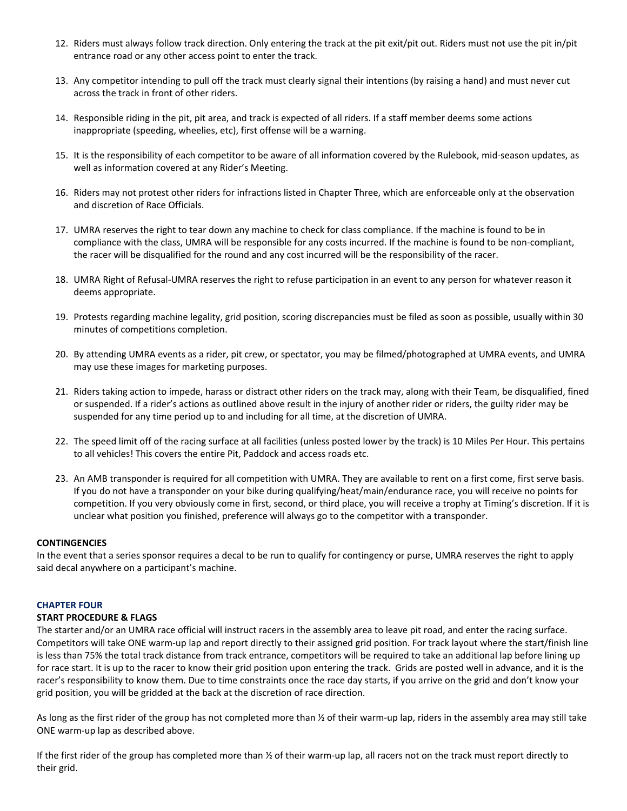- 12. Riders must always follow track direction. Only entering the track at the pit exit/pit out. Riders must not use the pit in/pit entrance road or any other access point to enter the track.
- 13. Any competitor intending to pull off the track must clearly signal their intentions (by raising a hand) and must never cut across the track in front of other riders.
- 14. Responsible riding in the pit, pit area, and track is expected of all riders. If a staff member deems some actions inappropriate (speeding, wheelies, etc), first offense will be a warning.
- 15. It is the responsibility of each competitor to be aware of all information covered by the Rulebook, mid-season updates, as well as information covered at any Rider's Meeting.
- 16. Riders may not protest other riders for infractions listed in Chapter Three, which are enforceable only at the observation and discretion of Race Officials.
- 17. UMRA reserves the right to tear down any machine to check for class compliance. If the machine is found to be in compliance with the class, UMRA will be responsible for any costs incurred. If the machine is found to be non-compliant, the racer will be disqualified for the round and any cost incurred will be the responsibility of the racer.
- 18. UMRA Right of Refusal-UMRA reserves the right to refuse participation in an event to any person for whatever reason it deems appropriate.
- 19. Protests regarding machine legality, grid position, scoring discrepancies must be filed as soon as possible, usually within 30 minutes of competitions completion.
- 20. By attending UMRA events as a rider, pit crew, or spectator, you may be filmed/photographed at UMRA events, and UMRA may use these images for marketing purposes.
- 21. Riders taking action to impede, harass or distract other riders on the track may, along with their Team, be disqualified, fined or suspended. If a rider's actions as outlined above result in the injury of another rider or riders, the guilty rider may be suspended for any time period up to and including for all time, at the discretion of UMRA.
- 22. The speed limit off of the racing surface at all facilities (unless posted lower by the track) is 10 Miles Per Hour. This pertains to all vehicles! This covers the entire Pit, Paddock and access roads etc.
- 23. An AMB transponder is required for all competition with UMRA. They are available to rent on a first come, first serve basis. If you do not have a transponder on your bike during qualifying/heat/main/endurance race, you will receive no points for competition. If you very obviously come in first, second, or third place, you will receive a trophy at Timing's discretion. If it is unclear what position you finished, preference will always go to the competitor with a transponder.

### **CONTINGENCIES**

In the event that a series sponsor requires a decal to be run to qualify for contingency or purse, UMRA reserves the right to apply said decal anywhere on a participant's machine.

### **CHAPTER FOUR**

# **START PROCEDURE & FLAGS**

The starter and/or an UMRA race official will instruct racers in the assembly area to leave pit road, and enter the racing surface. Competitors will take ONE warm-up lap and report directly to their assigned grid position. For track layout where the start/finish line is less than 75% the total track distance from track entrance, competitors will be required to take an additional lap before lining up for race start. It is up to the racer to know their grid position upon entering the track. Grids are posted well in advance, and it is the racer's responsibility to know them. Due to time constraints once the race day starts, if you arrive on the grid and don't know your grid position, you will be gridded at the back at the discretion of race direction.

As long as the first rider of the group has not completed more than  $\frac{1}{2}$  of their warm-up lap, riders in the assembly area may still take ONE warm-up lap as described above.

If the first rider of the group has completed more than  $\frac{1}{2}$  of their warm-up lap, all racers not on the track must report directly to their grid.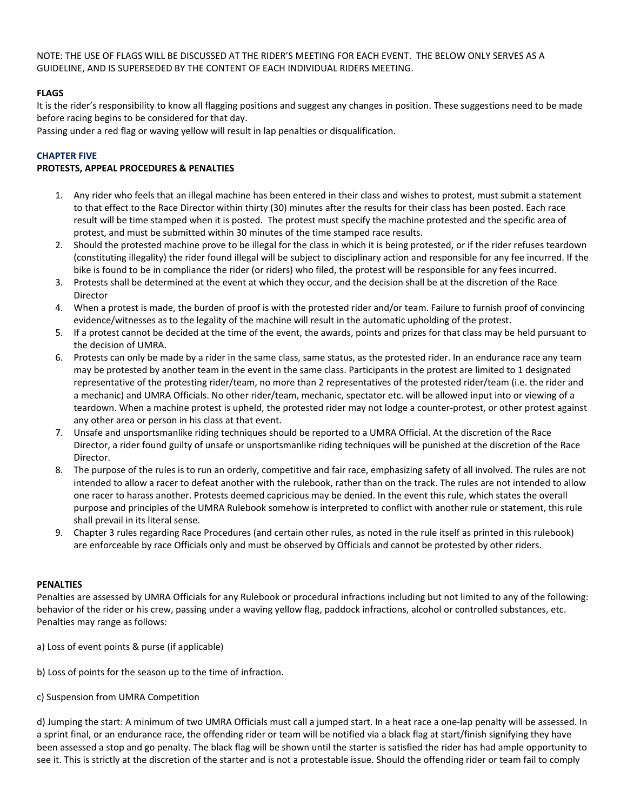NOTE: THE USE OF FLAGS WILL BE DISCUSSED AT THE RIDER'S MEETING FOR EACH EVENT. THE BELOW ONLY SERVES AS A GUIDELINE, AND IS SUPERSEDED BY THE CONTENT OF EACH INDIVIDUAL RIDERS MEETING.

# **FLAGS**

It is the rider's responsibility to know all flagging positions and suggest any changes in position. These suggestions need to be made before racing begins to be considered for that day.

Passing under a red flag or waving yellow will result in lap penalties or disqualification.

### **CHAPTER FIVE**

### **PROTESTS, APPEAL PROCEDURES & PENALTIES**

- 1. Any rider who feels that an illegal machine has been entered in their class and wishes to protest, must submit a statement to that effect to the Race Director within thirty (30) minutes after the results for their class has been posted. Each race result will be time stamped when it is posted. The protest must specify the machine protested and the specific area of protest, and must be submitted within 30 minutes of the time stamped race results.
- 2. Should the protested machine prove to be illegal for the class in which it is being protested, or if the rider refuses teardown (constituting illegality) the rider found illegal will be subject to disciplinary action and responsible for any fee incurred. If the bike is found to be in compliance the rider (or riders) who filed, the protest will be responsible for any fees incurred.
- 3. Protests shall be determined at the event at which they occur, and the decision shall be at the discretion of the Race Director
- 4. When a protest is made, the burden of proof is with the protested rider and/or team. Failure to furnish proof of convincing evidence/witnesses as to the legality of the machine will result in the automatic upholding of the protest.
- 5. If a protest cannot be decided at the time of the event, the awards, points and prizes for that class may be held pursuant to the decision of UMRA.
- 6. Protests can only be made by a rider in the same class, same status, as the protested rider. In an endurance race any team may be protested by another team in the event in the same class. Participants in the protest are limited to 1 designated representative of the protesting rider/team, no more than 2 representatives of the protested rider/team (i.e. the rider and a mechanic) and UMRA Officials. No other rider/team, mechanic, spectator etc. will be allowed input into or viewing of a teardown. When a machine protest is upheld, the protested rider may not lodge a counter-protest, or other protest against any other area or person in his class at that event.
- 7. Unsafe and unsportsmanlike riding techniques should be reported to a UMRA Official. At the discretion of the Race Director, a rider found guilty of unsafe or unsportsmanlike riding techniques will be punished at the discretion of the Race Director.
- 8. The purpose of the rules is to run an orderly, competitive and fair race, emphasizing safety of all involved. The rules are not intended to allow a racer to defeat another with the rulebook, rather than on the track. The rules are not intended to allow one racer to harass another. Protests deemed capricious may be denied. In the event this rule, which states the overall purpose and principles of the UMRA Rulebook somehow is interpreted to conflict with another rule or statement, this rule shall prevail in its literal sense.
- 9. Chapter 3 rules regarding Race Procedures (and certain other rules, as noted in the rule itself as printed in this rulebook) are enforceable by race Officials only and must be observed by Officials and cannot be protested by other riders.

### **PENALTIES**

Penalties are assessed by UMRA Officials for any Rulebook or procedural infractions including but not limited to any of the following: behavior of the rider or his crew, passing under a waving yellow flag, paddock infractions, alcohol or controlled substances, etc. Penalties may range as follows:

a) Loss of event points & purse (if applicable)

- b) Loss of points for the season up to the time of infraction.
- c) Suspension from UMRA Competition

d) Jumping the start: A minimum of two UMRA Officials must call a jumped start. In a heat race a one-lap penalty will be assessed. In a sprint final, or an endurance race, the offending rider or team will be notified via a black flag at start/finish signifying they have been assessed a stop and go penalty. The black flag will be shown until the starter is satisfied the rider has had ample opportunity to see it. This is strictly at the discretion of the starter and is not a protestable issue. Should the offending rider or team fail to comply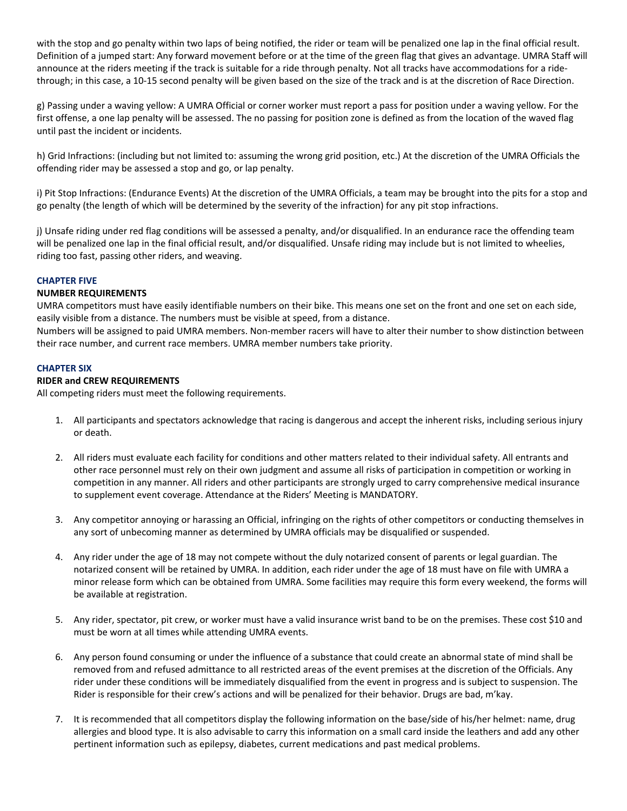with the stop and go penalty within two laps of being notified, the rider or team will be penalized one lap in the final official result. Definition of a jumped start: Any forward movement before or at the time of the green flag that gives an advantage. UMRA Staff will announce at the riders meeting if the track is suitable for a ride through penalty. Not all tracks have accommodations for a ridethrough; in this case, a 10-15 second penalty will be given based on the size of the track and is at the discretion of Race Direction.

g) Passing under a waving yellow: A UMRA Official or corner worker must report a pass for position under a waving yellow. For the first offense, a one lap penalty will be assessed. The no passing for position zone is defined as from the location of the waved flag until past the incident or incidents.

h) Grid Infractions: (including but not limited to: assuming the wrong grid position, etc.) At the discretion of the UMRA Officials the offending rider may be assessed a stop and go, or lap penalty.

i) Pit Stop Infractions: (Endurance Events) At the discretion of the UMRA Officials, a team may be brought into the pits for a stop and go penalty (the length of which will be determined by the severity of the infraction) for any pit stop infractions.

j) Unsafe riding under red flag conditions will be assessed a penalty, and/or disqualified. In an endurance race the offending team will be penalized one lap in the final official result, and/or disqualified. Unsafe riding may include but is not limited to wheelies, riding too fast, passing other riders, and weaving.

### **CHAPTER FIVE**

### **NUMBER REQUIREMENTS**

UMRA competitors must have easily identifiable numbers on their bike. This means one set on the front and one set on each side, easily visible from a distance. The numbers must be visible at speed, from a distance.

Numbers will be assigned to paid UMRA members. Non-member racers will have to alter their number to show distinction between their race number, and current race members. UMRA member numbers take priority.

### **CHAPTER SIX**

### **RIDER and CREW REQUIREMENTS**

All competing riders must meet the following requirements.

- 1. All participants and spectators acknowledge that racing is dangerous and accept the inherent risks, including serious injury or death.
- 2. All riders must evaluate each facility for conditions and other matters related to their individual safety. All entrants and other race personnel must rely on their own judgment and assume all risks of participation in competition or working in competition in any manner. All riders and other participants are strongly urged to carry comprehensive medical insurance to supplement event coverage. Attendance at the Riders' Meeting is MANDATORY.
- 3. Any competitor annoying or harassing an Official, infringing on the rights of other competitors or conducting themselves in any sort of unbecoming manner as determined by UMRA officials may be disqualified or suspended.
- 4. Any rider under the age of 18 may not compete without the duly notarized consent of parents or legal guardian. The notarized consent will be retained by UMRA. In addition, each rider under the age of 18 must have on file with UMRA a minor release form which can be obtained from UMRA. Some facilities may require this form every weekend, the forms will be available at registration.
- 5. Any rider, spectator, pit crew, or worker must have a valid insurance wrist band to be on the premises. These cost \$10 and must be worn at all times while attending UMRA events.
- 6. Any person found consuming or under the influence of a substance that could create an abnormal state of mind shall be removed from and refused admittance to all restricted areas of the event premises at the discretion of the Officials. Any rider under these conditions will be immediately disqualified from the event in progress and is subject to suspension. The Rider is responsible for their crew's actions and will be penalized for their behavior. Drugs are bad, m'kay.
- 7. It is recommended that all competitors display the following information on the base/side of his/her helmet: name, drug allergies and blood type. It is also advisable to carry this information on a small card inside the leathers and add any other pertinent information such as epilepsy, diabetes, current medications and past medical problems.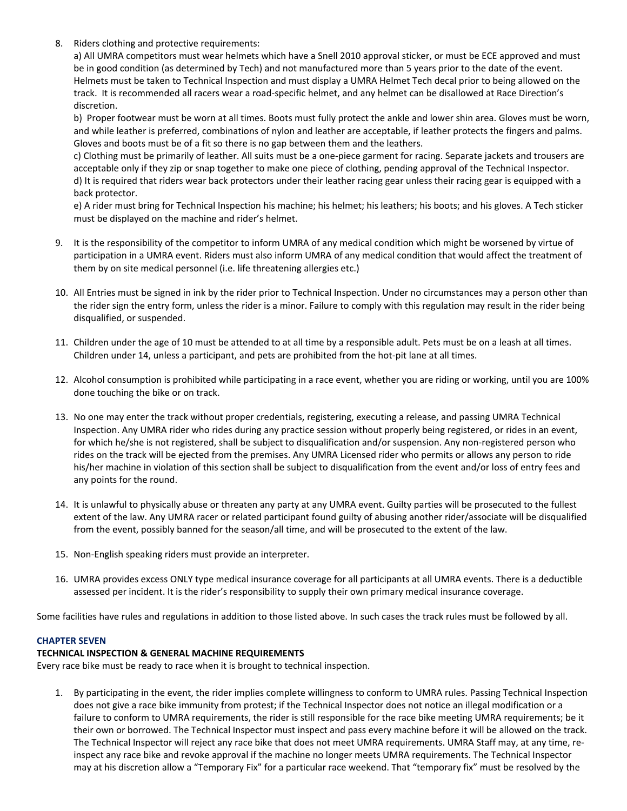8. Riders clothing and protective requirements:

a) All UMRA competitors must wear helmets which have a Snell 2010 approval sticker, or must be ECE approved and must be in good condition (as determined by Tech) and not manufactured more than 5 years prior to the date of the event. Helmets must be taken to Technical Inspection and must display a UMRA Helmet Tech decal prior to being allowed on the track. It is recommended all racers wear a road-specific helmet, and any helmet can be disallowed at Race Direction's discretion.

b) Proper footwear must be worn at all times. Boots must fully protect the ankle and lower shin area. Gloves must be worn, and while leather is preferred, combinations of nylon and leather are acceptable, if leather protects the fingers and palms. Gloves and boots must be of a fit so there is no gap between them and the leathers.

c) Clothing must be primarily of leather. All suits must be a one-piece garment for racing. Separate jackets and trousers are acceptable only if they zip or snap together to make one piece of clothing, pending approval of the Technical Inspector. d) It is required that riders wear back protectors under their leather racing gear unless their racing gear is equipped with a back protector.

e) A rider must bring for Technical Inspection his machine; his helmet; his leathers; his boots; and his gloves. A Tech sticker must be displayed on the machine and rider's helmet.

- 9. It is the responsibility of the competitor to inform UMRA of any medical condition which might be worsened by virtue of participation in a UMRA event. Riders must also inform UMRA of any medical condition that would affect the treatment of them by on site medical personnel (i.e. life threatening allergies etc.)
- 10. All Entries must be signed in ink by the rider prior to Technical Inspection. Under no circumstances may a person other than the rider sign the entry form, unless the rider is a minor. Failure to comply with this regulation may result in the rider being disqualified, or suspended.
- 11. Children under the age of 10 must be attended to at all time by a responsible adult. Pets must be on a leash at all times. Children under 14, unless a participant, and pets are prohibited from the hot-pit lane at all times.
- 12. Alcohol consumption is prohibited while participating in a race event, whether you are riding or working, until you are 100% done touching the bike or on track.
- 13. No one may enter the track without proper credentials, registering, executing a release, and passing UMRA Technical Inspection. Any UMRA rider who rides during any practice session without properly being registered, or rides in an event, for which he/she is not registered, shall be subject to disqualification and/or suspension. Any non-registered person who rides on the track will be ejected from the premises. Any UMRA Licensed rider who permits or allows any person to ride his/her machine in violation of this section shall be subject to disqualification from the event and/or loss of entry fees and any points for the round.
- 14. It is unlawful to physically abuse or threaten any party at any UMRA event. Guilty parties will be prosecuted to the fullest extent of the law. Any UMRA racer or related participant found guilty of abusing another rider/associate will be disqualified from the event, possibly banned for the season/all time, and will be prosecuted to the extent of the law.
- 15. Non-English speaking riders must provide an interpreter.
- 16. UMRA provides excess ONLY type medical insurance coverage for all participants at all UMRA events. There is a deductible assessed per incident. It is the rider's responsibility to supply their own primary medical insurance coverage.

Some facilities have rules and regulations in addition to those listed above. In such cases the track rules must be followed by all.

### **CHAPTER SEVEN**

### **TECHNICAL INSPECTION & GENERAL MACHINE REQUIREMENTS**

Every race bike must be ready to race when it is brought to technical inspection.

1. By participating in the event, the rider implies complete willingness to conform to UMRA rules. Passing Technical Inspection does not give a race bike immunity from protest; if the Technical Inspector does not notice an illegal modification or a failure to conform to UMRA requirements, the rider is still responsible for the race bike meeting UMRA requirements; be it their own or borrowed. The Technical Inspector must inspect and pass every machine before it will be allowed on the track. The Technical Inspector will reject any race bike that does not meet UMRA requirements. UMRA Staff may, at any time, reinspect any race bike and revoke approval if the machine no longer meets UMRA requirements. The Technical Inspector may at his discretion allow a "Temporary Fix" for a particular race weekend. That "temporary fix" must be resolved by the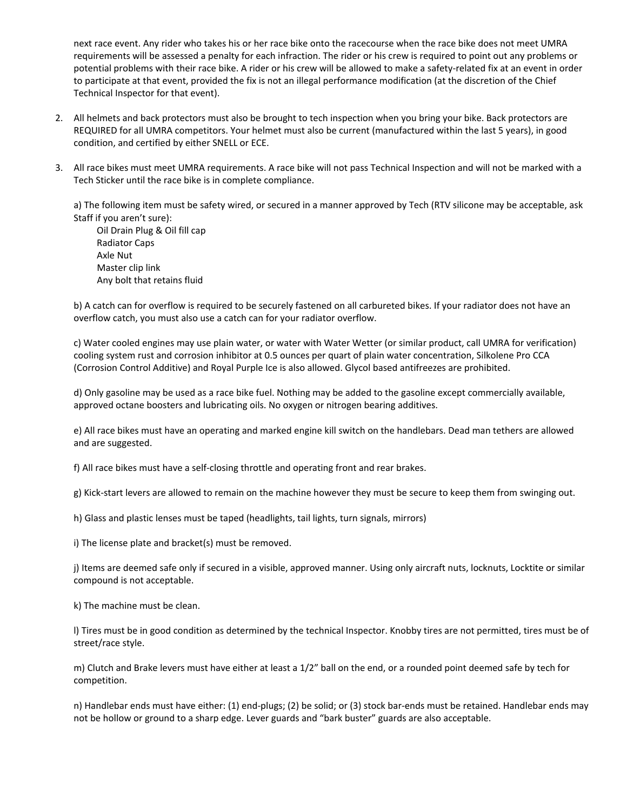next race event. Any rider who takes his or her race bike onto the racecourse when the race bike does not meet UMRA requirements will be assessed a penalty for each infraction. The rider or his crew is required to point out any problems or potential problems with their race bike. A rider or his crew will be allowed to make a safety-related fix at an event in order to participate at that event, provided the fix is not an illegal performance modification (at the discretion of the Chief Technical Inspector for that event).

- 2. All helmets and back protectors must also be brought to tech inspection when you bring your bike. Back protectors are REQUIRED for all UMRA competitors. Your helmet must also be current (manufactured within the last 5 years), in good condition, and certified by either SNELL or ECE.
- 3. All race bikes must meet UMRA requirements. A race bike will not pass Technical Inspection and will not be marked with a Tech Sticker until the race bike is in complete compliance.

a) The following item must be safety wired, or secured in a manner approved by Tech (RTV silicone may be acceptable, ask Staff if you aren't sure):

 Oil Drain Plug & Oil fill cap Radiator Caps Axle Nut Master clip link Any bolt that retains fluid

b) A catch can for overflow is required to be securely fastened on all carbureted bikes. If your radiator does not have an overflow catch, you must also use a catch can for your radiator overflow.

c) Water cooled engines may use plain water, or water with Water Wetter (or similar product, call UMRA for verification) cooling system rust and corrosion inhibitor at 0.5 ounces per quart of plain water concentration, Silkolene Pro CCA (Corrosion Control Additive) and Royal Purple Ice is also allowed. Glycol based antifreezes are prohibited.

d) Only gasoline may be used as a race bike fuel. Nothing may be added to the gasoline except commercially available, approved octane boosters and lubricating oils. No oxygen or nitrogen bearing additives.

e) All race bikes must have an operating and marked engine kill switch on the handlebars. Dead man tethers are allowed and are suggested.

f) All race bikes must have a self-closing throttle and operating front and rear brakes.

g) Kick-start levers are allowed to remain on the machine however they must be secure to keep them from swinging out.

h) Glass and plastic lenses must be taped (headlights, tail lights, turn signals, mirrors)

i) The license plate and bracket(s) must be removed.

j) Items are deemed safe only if secured in a visible, approved manner. Using only aircraft nuts, locknuts, Locktite or similar compound is not acceptable.

k) The machine must be clean.

l) Tires must be in good condition as determined by the technical Inspector. Knobby tires are not permitted, tires must be of street/race style.

m) Clutch and Brake levers must have either at least a 1/2" ball on the end, or a rounded point deemed safe by tech for competition.

n) Handlebar ends must have either: (1) end-plugs; (2) be solid; or (3) stock bar-ends must be retained. Handlebar ends may not be hollow or ground to a sharp edge. Lever guards and "bark buster" guards are also acceptable.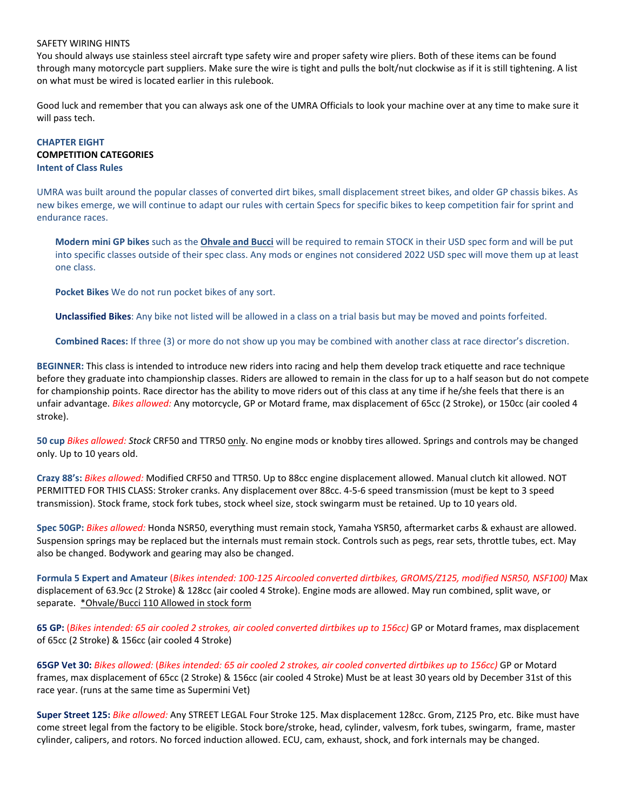#### SAFETY WIRING HINTS

You should always use stainless steel aircraft type safety wire and proper safety wire pliers. Both of these items can be found through many motorcycle part suppliers. Make sure the wire is tight and pulls the bolt/nut clockwise as if it is still tightening. A list on what must be wired is located earlier in this rulebook.

Good luck and remember that you can always ask one of the UMRA Officials to look your machine over at any time to make sure it will pass tech.

# **CHAPTER EIGHT COMPETITION CATEGORIES Intent of Class Rules**

UMRA was built around the popular classes of converted dirt bikes, small displacement street bikes, and older GP chassis bikes. As new bikes emerge, we will continue to adapt our rules with certain Specs for specific bikes to keep competition fair for sprint and endurance races.

**Modern mini GP bikes** such as the **Ohvale and Bucci** will be required to remain STOCK in their USD spec form and will be put into specific classes outside of their spec class. Any mods or engines not considered 2022 USD spec will move them up at least one class.

**Pocket Bikes** We do not run pocket bikes of any sort.

**Unclassified Bikes**: Any bike not listed will be allowed in a class on a trial basis but may be moved and points forfeited.

**Combined Races:** If three (3) or more do not show up you may be combined with another class at race director's discretion.

**BEGINNER:** This class is intended to introduce new riders into racing and help them develop track etiquette and race technique before they graduate into championship classes. Riders are allowed to remain in the class for up to a half season but do not compete for championship points. Race director has the ability to move riders out of this class at any time if he/she feels that there is an unfair advantage. *Bikes allowed:* Any motorcycle, GP or Motard frame, max displacement of 65cc (2 Stroke), or 150cc (air cooled 4 stroke).

**50 cup** *Bikes allowed: Stock* CRF50 and TTR50 only. No engine mods or knobby tires allowed. Springs and controls may be changed only. Up to 10 years old.

**Crazy 88's:** *Bikes allowed:* Modified CRF50 and TTR50. Up to 88cc engine displacement allowed. Manual clutch kit allowed. NOT PERMITTED FOR THIS CLASS: Stroker cranks. Any displacement over 88cc. 4-5-6 speed transmission (must be kept to 3 speed transmission). Stock frame, stock fork tubes, stock wheel size, stock swingarm must be retained. Up to 10 years old.

**Spec 50GP:** *Bikes allowed:* Honda NSR50, everything must remain stock, Yamaha YSR50, aftermarket carbs & exhaust are allowed. Suspension springs may be replaced but the internals must remain stock. Controls such as pegs, rear sets, throttle tubes, ect. May also be changed. Bodywork and gearing may also be changed.

**Formula 5 Expert and Amateur** (*Bikes intended: 100-125 Aircooled converted dirtbikes, GROMS/Z125, modified NSR50, NSF100)* Max displacement of 63.9cc (2 Stroke) & 128cc (air cooled 4 Stroke). Engine mods are allowed. May run combined, split wave, or separate. \*Ohvale/Bucci 110 Allowed in stock form

**65 GP:** (*Bikes intended: 65 air cooled 2 strokes, air cooled converted dirtbikes up to 156cc)* GP or Motard frames, max displacement of 65cc (2 Stroke) & 156cc (air cooled 4 Stroke)

**65GP Vet 30:** *Bikes allowed:* (*Bikes intended: 65 air cooled 2 strokes, air cooled converted dirtbikes up to 156cc)* GP or Motard frames, max displacement of 65cc (2 Stroke) & 156cc (air cooled 4 Stroke) Must be at least 30 years old by December 31st of this race year. (runs at the same time as Supermini Vet)

**Super Street 125:** *Bike allowed:* Any STREET LEGAL Four Stroke 125. Max displacement 128cc. Grom, Z125 Pro, etc. Bike must have come street legal from the factory to be eligible. Stock bore/stroke, head, cylinder, valvesm, fork tubes, swingarm, frame, master cylinder, calipers, and rotors. No forced induction allowed. ECU, cam, exhaust, shock, and fork internals may be changed.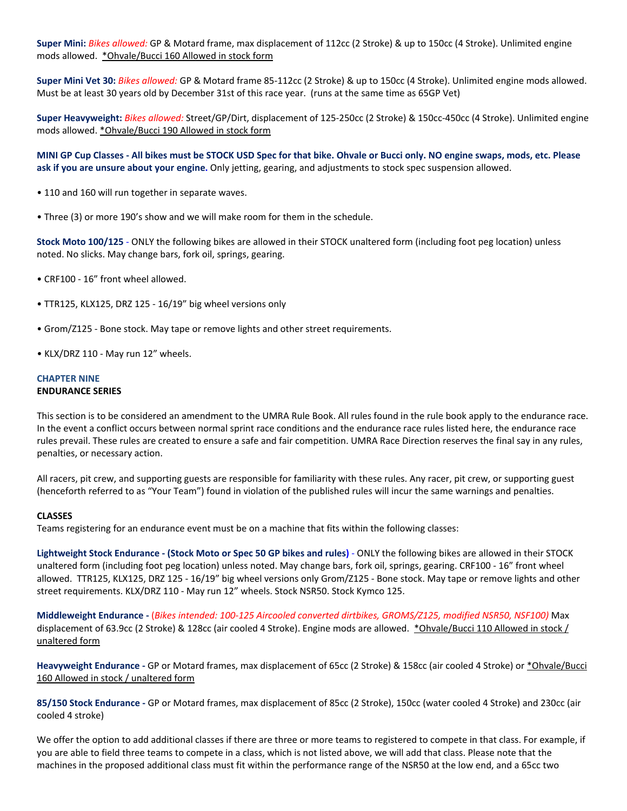**Super Mini:** *Bikes allowed:* GP & Motard frame, max displacement of 112cc (2 Stroke) & up to 150cc (4 Stroke). Unlimited engine mods allowed. \*Ohvale/Bucci 160 Allowed in stock form

**Super Mini Vet 30:** *Bikes allowed:* GP & Motard frame 85-112cc (2 Stroke) & up to 150cc (4 Stroke). Unlimited engine mods allowed. Must be at least 30 years old by December 31st of this race year. (runs at the same time as 65GP Vet)

**Super Heavyweight:** *Bikes allowed:* Street/GP/Dirt, displacement of 125-250cc (2 Stroke) & 150cc-450cc (4 Stroke). Unlimited engine mods allowed. \*Ohvale/Bucci 190 Allowed in stock form

**MINI GP Cup Classes - All bikes must be STOCK USD Spec for that bike. Ohvale or Bucci only. NO engine swaps, mods, etc. Please ask if you are unsure about your engine.** Only jetting, gearing, and adjustments to stock spec suspension allowed.

- 110 and 160 will run together in separate waves.
- Three (3) or more 190's show and we will make room for them in the schedule.

**Stock Moto 100/125** - ONLY the following bikes are allowed in their STOCK unaltered form (including foot peg location) unless noted. No slicks. May change bars, fork oil, springs, gearing.

- CRF100 16" front wheel allowed.
- TTR125, KLX125, DRZ 125 16/19" big wheel versions only
- Grom/Z125 Bone stock. May tape or remove lights and other street requirements.
- KLX/DRZ 110 May run 12" wheels.

### **CHAPTER NINE ENDURANCE SERIES**

This section is to be considered an amendment to the UMRA Rule Book. All rules found in the rule book apply to the endurance race. In the event a conflict occurs between normal sprint race conditions and the endurance race rules listed here, the endurance race rules prevail. These rules are created to ensure a safe and fair competition. UMRA Race Direction reserves the final say in any rules, penalties, or necessary action.

All racers, pit crew, and supporting guests are responsible for familiarity with these rules. Any racer, pit crew, or supporting guest (henceforth referred to as "Your Team") found in violation of the published rules will incur the same warnings and penalties.

### **CLASSES**

Teams registering for an endurance event must be on a machine that fits within the following classes:

**Lightweight Stock Endurance - (Stock Moto or Spec 50 GP bikes and rules)** - ONLY the following bikes are allowed in their STOCK unaltered form (including foot peg location) unless noted. May change bars, fork oil, springs, gearing. CRF100 - 16" front wheel allowed. TTR125, KLX125, DRZ 125 - 16/19" big wheel versions only Grom/Z125 - Bone stock. May tape or remove lights and other street requirements. KLX/DRZ 110 - May run 12" wheels. Stock NSR50. Stock Kymco 125.

**Middleweight Endurance -** (*Bikes intended: 100-125 Aircooled converted dirtbikes, GROMS/Z125, modified NSR50, NSF100)* Max displacement of 63.9cc (2 Stroke) & 128cc (air cooled 4 Stroke). Engine mods are allowed. \*Ohvale/Bucci 110 Allowed in stock / unaltered form

**Heavyweight Endurance -** GP or Motard frames, max displacement of 65cc (2 Stroke) & 158cc (air cooled 4 Stroke) or \*Ohvale/Bucci 160 Allowed in stock / unaltered form

**85/150 Stock Endurance -** GP or Motard frames, max displacement of 85cc (2 Stroke), 150cc (water cooled 4 Stroke) and 230cc (air cooled 4 stroke)

We offer the option to add additional classes if there are three or more teams to registered to compete in that class. For example, if you are able to field three teams to compete in a class, which is not listed above, we will add that class. Please note that the machines in the proposed additional class must fit within the performance range of the NSR50 at the low end, and a 65cc two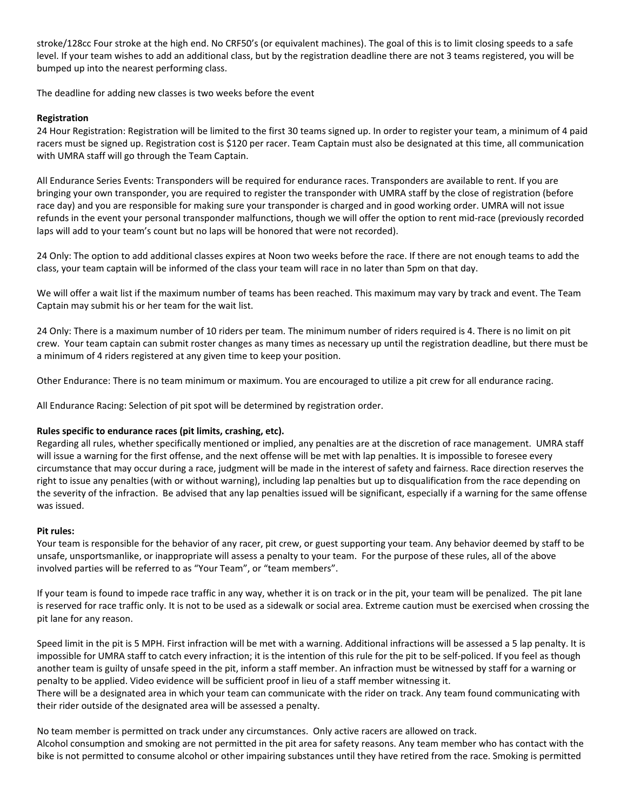stroke/128cc Four stroke at the high end. No CRF50's (or equivalent machines). The goal of this is to limit closing speeds to a safe level. If your team wishes to add an additional class, but by the registration deadline there are not 3 teams registered, you will be bumped up into the nearest performing class.

The deadline for adding new classes is two weeks before the event

# **Registration**

24 Hour Registration: Registration will be limited to the first 30 teams signed up. In order to register your team, a minimum of 4 paid racers must be signed up. Registration cost is \$120 per racer. Team Captain must also be designated at this time, all communication with UMRA staff will go through the Team Captain.

All Endurance Series Events: Transponders will be required for endurance races. Transponders are available to rent. If you are bringing your own transponder, you are required to register the transponder with UMRA staff by the close of registration (before race day) and you are responsible for making sure your transponder is charged and in good working order. UMRA will not issue refunds in the event your personal transponder malfunctions, though we will offer the option to rent mid-race (previously recorded laps will add to your team's count but no laps will be honored that were not recorded).

24 Only: The option to add additional classes expires at Noon two weeks before the race. If there are not enough teams to add the class, your team captain will be informed of the class your team will race in no later than 5pm on that day.

We will offer a wait list if the maximum number of teams has been reached. This maximum may vary by track and event. The Team Captain may submit his or her team for the wait list.

24 Only: There is a maximum number of 10 riders per team. The minimum number of riders required is 4. There is no limit on pit crew. Your team captain can submit roster changes as many times as necessary up until the registration deadline, but there must be a minimum of 4 riders registered at any given time to keep your position.

Other Endurance: There is no team minimum or maximum. You are encouraged to utilize a pit crew for all endurance racing.

All Endurance Racing: Selection of pit spot will be determined by registration order.

# **Rules specific to endurance races (pit limits, crashing, etc).**

Regarding all rules, whether specifically mentioned or implied, any penalties are at the discretion of race management. UMRA staff will issue a warning for the first offense, and the next offense will be met with lap penalties. It is impossible to foresee every circumstance that may occur during a race, judgment will be made in the interest of safety and fairness. Race direction reserves the right to issue any penalties (with or without warning), including lap penalties but up to disqualification from the race depending on the severity of the infraction. Be advised that any lap penalties issued will be significant, especially if a warning for the same offense was issued.

### **Pit rules:**

Your team is responsible for the behavior of any racer, pit crew, or guest supporting your team. Any behavior deemed by staff to be unsafe, unsportsmanlike, or inappropriate will assess a penalty to your team. For the purpose of these rules, all of the above involved parties will be referred to as "Your Team", or "team members".

If your team is found to impede race traffic in any way, whether it is on track or in the pit, your team will be penalized. The pit lane is reserved for race traffic only. It is not to be used as a sidewalk or social area. Extreme caution must be exercised when crossing the pit lane for any reason.

Speed limit in the pit is 5 MPH. First infraction will be met with a warning. Additional infractions will be assessed a 5 lap penalty. It is impossible for UMRA staff to catch every infraction; it is the intention of this rule for the pit to be self-policed. If you feel as though another team is guilty of unsafe speed in the pit, inform a staff member. An infraction must be witnessed by staff for a warning or penalty to be applied. Video evidence will be sufficient proof in lieu of a staff member witnessing it.

There will be a designated area in which your team can communicate with the rider on track. Any team found communicating with their rider outside of the designated area will be assessed a penalty.

No team member is permitted on track under any circumstances. Only active racers are allowed on track. Alcohol consumption and smoking are not permitted in the pit area for safety reasons. Any team member who has contact with the bike is not permitted to consume alcohol or other impairing substances until they have retired from the race. Smoking is permitted